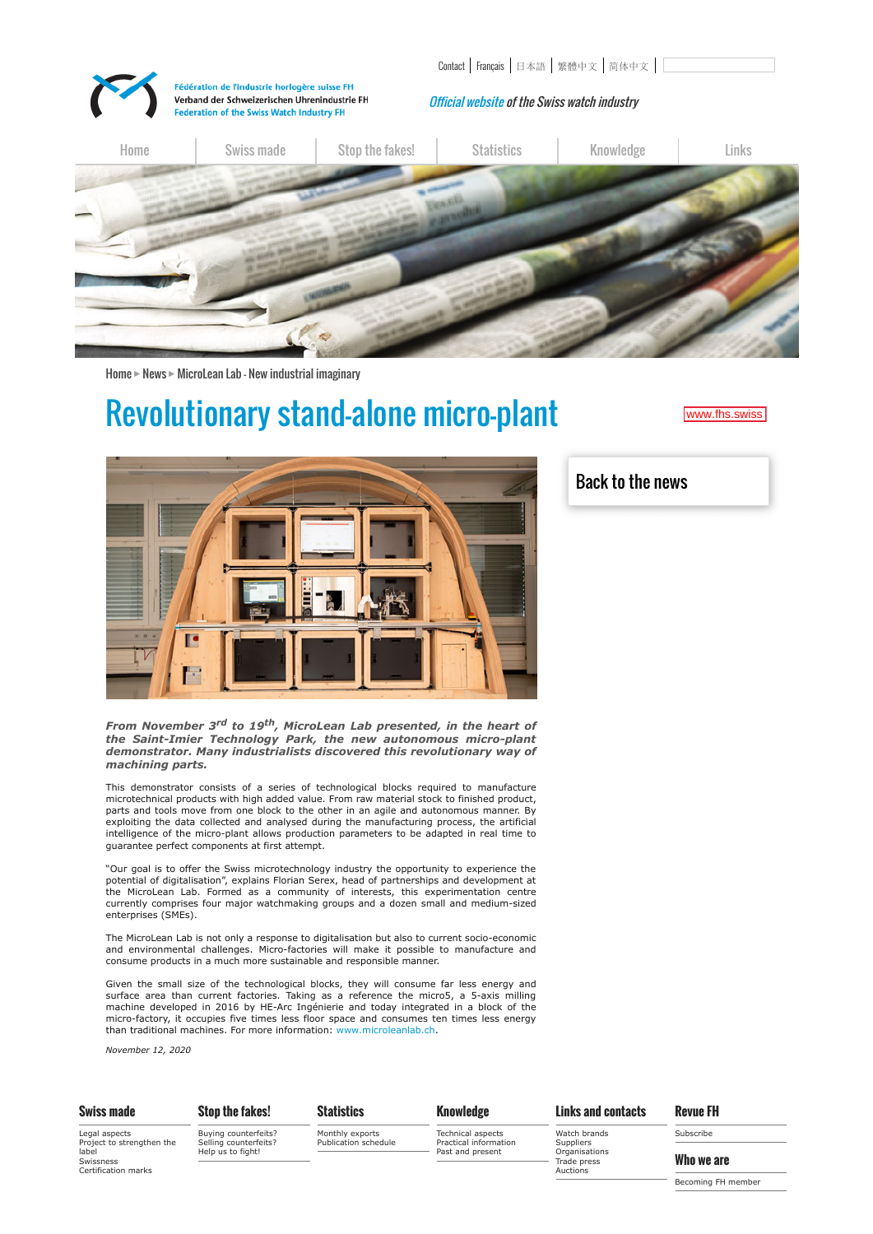## Revolutionary stand-alone micro-plant





*From November 3 rd to 19th, MicroLean Lab presented, in the heart of the Saint-Imier Technology Park, the new autonomous micro-plant demonstrator. Many industrialists discovered this revolutionary way of machining parts.*

This demonstrator consists of a series of technological blocks required to manufacture microtechnical products with high added value. From raw material stock to finished product, parts and tools move from one block to the other in an agile and autonomous manner. By exploiting the data collected and analysed during the manufacturing process, the artificial intelligence of the micro-plant allows production parameters to be adapted in real time to guarantee perfect components at first attempt.

"Our goal is to offer the Swiss microtechnology industry the opportunity to experience the potential of digitalisation", explains Florian Serex, head of partnerships and development at the MicroLean Lab. Formed as a community of interests, this experimentation centre currently comprises four major watchmaking groups and a dozen small and medium-sized enterprises (SMEs).

The MicroLean Lab is not only a response to digitalisation but also to current socio-economic and environmental challenges. Micro-factories will make it possible to manufacture and consume products in a much more sustainable and responsible manner.

Given the small size of the technological blocks, they will consume far less energy and surface area than current factories. Taking as a reference the micro5, a 5-axis milling machine developed in 2016 by HE-Arc Ingénierie and today integrated in a block of the micro-factory, it occupies five times less floor space and consumes ten times less energy than traditional machines. For more information: [www.microleanlab.ch.](https://microleanlab.ch/en/)

## [Back to the news](https://www.fhs.swiss/eng/latest_news.html)